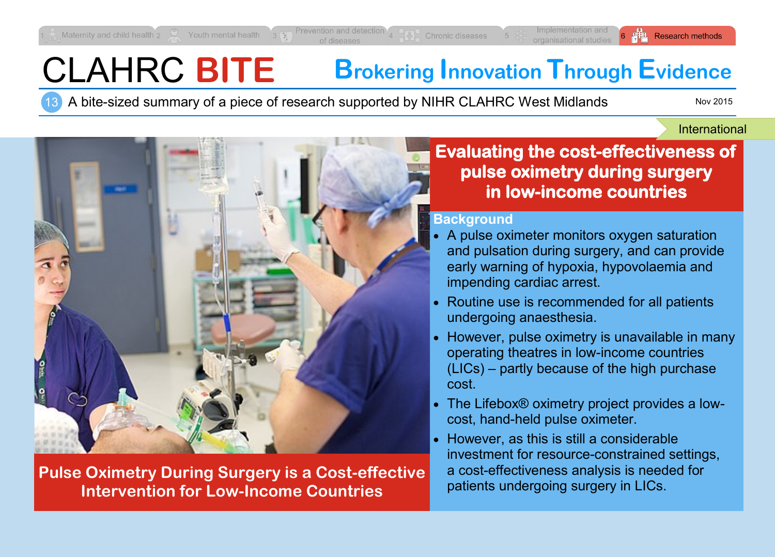# CLAHRC **BITE Brokering Innovation Through Evidence**

13 A bite-sized summary of a piece of research supported by NIHR CLAHRC West Midlands

Nov 2015

International



**Pulse Oximetry During Surgery is a Cost-effective Intervention for Low-Income Countries**

**Evaluating the cost-effectiveness of pulse oximetry during surgery in low-income countries** 

### **Background**

- A pulse oximeter monitors oxygen saturation and pulsation during surgery, and can provide early warning of hypoxia, hypovolaemia and impending cardiac arrest.
- Routine use is recommended for all patients undergoing anaesthesia.
- However, pulse oximetry is unavailable in many operating theatres in low-income countries (LICs) – partly because of the high purchase cost.
- The Lifebox® oximetry project provides a lowcost, hand-held pulse oximeter.
- However, as this is still a considerable investment for resource-constrained settings, a cost-effectiveness analysis is needed for patients undergoing surgery in LICs.